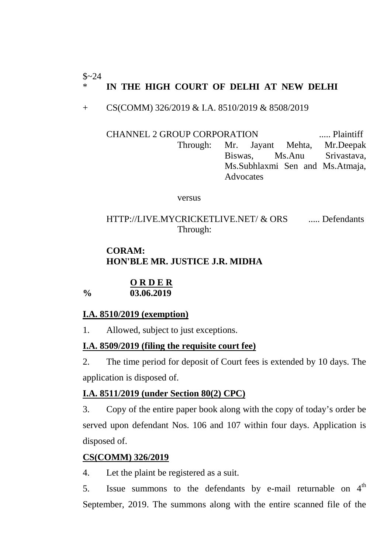#### $$~24$ IN THE HIGH COURT OF DELHI AT NEW DELHI

+ CS(COMM) 326/2019 & I.A. 8510/2019 & 8508/2019

CHANNEL 2 GROUP CORPORATION ..... Plaintiff Through: Mr. Jayant Mehta, Mr.Deepak Biswas, Ms.Anu Srivastava, Ms.Subhlaxmi Sen and Ms.Atmaja, Advocates

versus

HTTP://LIVE.MYCRICKETLIVE.NET/ & ORS ...... Defendants Through:

# **CORAM: HON'BLE MR. JUSTICE J.R. MIDHA**

#### **O R D E R % 03.06.2019**

# **I.A. 8510/2019 (exemption)**

1. Allowed, subject to just exceptions.

# **I.A. 8509/2019 (filing the requisite court fee)**

2. The time period for deposit of Court fees is extended by 10 days. The application is disposed of.

# **I.A. 8511/2019 (under Section 80(2) CPC)**

3. Copy of the entire paper book along with the copy of today's order be served upon defendant Nos. 106 and 107 within four days. Application is disposed of.

# **CS(COMM) 326/2019**

4. Let the plaint be registered as a suit.

5. Issue summons to the defendants by e-mail returnable on  $4<sup>th</sup>$ September, 2019. The summons along with the entire scanned file of the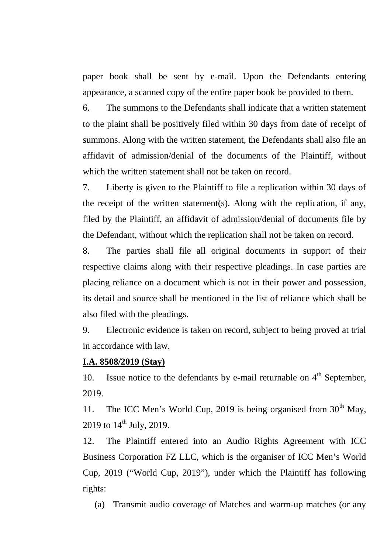paper book shall be sent by e-mail. Upon the Defendants entering appearance, a scanned copy of the entire paper book be provided to them.

6. The summons to the Defendants shall indicate that a written statement to the plaint shall be positively filed within 30 days from date of receipt of summons. Along with the written statement, the Defendants shall also file an affidavit of admission/denial of the documents of the Plaintiff, without which the written statement shall not be taken on record.

7. Liberty is given to the Plaintiff to file a replication within 30 days of the receipt of the written statement(s). Along with the replication, if any, filed by the Plaintiff, an affidavit of admission/denial of documents file by the Defendant, without which the replication shall not be taken on record.

8. The parties shall file all original documents in support of their respective claims along with their respective pleadings. In case parties are placing reliance on a document which is not in their power and possession, its detail and source shall be mentioned in the list of reliance which shall be also filed with the pleadings.

9. Electronic evidence is taken on record, subject to being proved at trial in accordance with law.

#### **I.A. 8508/2019 (Stay)**

10. Issue notice to the defendants by e-mail returnable on  $4<sup>th</sup>$  September, 2019.

11. The ICC Men's World Cup, 2019 is being organised from  $30<sup>th</sup>$  May, 2019 to  $14^{\text{th}}$  July, 2019.

12. The Plaintiff entered into an Audio Rights Agreement with ICC Business Corporation FZ LLC, which is the organiser of ICC Men's World Cup, 2019 ("World Cup, 2019"), under which the Plaintiff has following rights:

(a) Transmit audio coverage of Matches and warm-up matches (or any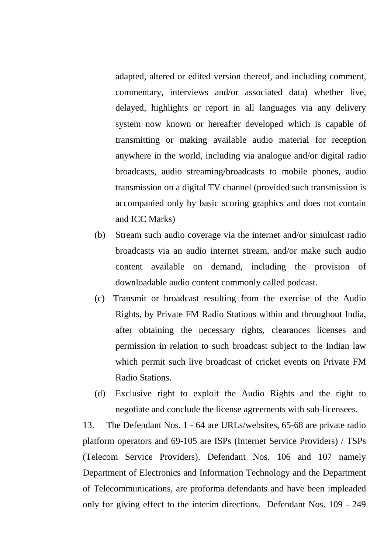adapted, altered or edited version thereof, and including comment, commentary, interviews and/or associated data) whether live, delayed, highlights or report in all languages via any delivery system now known or hereafter developed which is capable of transmitting or making available audio material for reception anywhere in the world, including via analogue and/or digital radio broadcasts, audio streaming/broadcasts to mobile phones, audio transmission on a digital TV channel (provided such transmission is accompanied only by basic scoring graphics and does not contain and ICC Marks)

- (b) Stream such audio coverage via the internet and/or simulcast radio broadcasts via an audio internet stream, and/or make such audio content available on demand, including the provision of downloadable audio content commonly called podcast.
- (c) Transmit or broadcast resulting from the exercise of the Audio Rights, by Private FM Radio Stations within and throughout India, after obtaining the necessary rights, clearances licenses and permission in relation to such broadcast subject to the Indian law which permit such live broadcast of cricket events on Private FM Radio Stations.
- (d) Exclusive right to exploit the Audio Rights and the right to negotiate and conclude the license agreements with sub-licensees.

13. The Defendant Nos. 1 - 64 are URLs/websites, 65-68 are private radio platform operators and 69-105 are ISPs (Internet Service Providers) / TSPs (Telecom Service Providers). Defendant Nos. 106 and 107 namely Department of Electronics and Information Technology and the Department of Telecommunications, are proforma defendants and have been impleaded only for giving effect to the interim directions. Defendant Nos. 109 - 249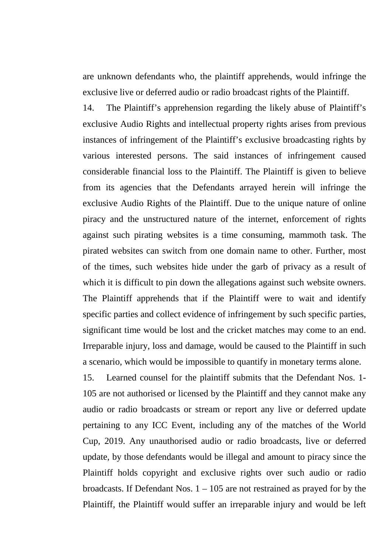are unknown defendants who, the plaintiff apprehends, would infringe the exclusive live or deferred audio or radio broadcast rights of the Plaintiff.

14. The Plaintiff's apprehension regarding the likely abuse of Plaintiff's exclusive Audio Rights and intellectual property rights arises from previous instances of infringement of the Plaintiff's exclusive broadcasting rights by various interested persons. The said instances of infringement caused considerable financial loss to the Plaintiff. The Plaintiff is given to believe from its agencies that the Defendants arrayed herein will infringe the exclusive Audio Rights of the Plaintiff. Due to the unique nature of online piracy and the unstructured nature of the internet, enforcement of rights against such pirating websites is a time consuming, mammoth task. The pirated websites can switch from one domain name to other. Further, most of the times, such websites hide under the garb of privacy as a result of which it is difficult to pin down the allegations against such website owners. The Plaintiff apprehends that if the Plaintiff were to wait and identify specific parties and collect evidence of infringement by such specific parties, significant time would be lost and the cricket matches may come to an end. Irreparable injury, loss and damage, would be caused to the Plaintiff in such a scenario, which would be impossible to quantify in monetary terms alone.

15. Learned counsel for the plaintiff submits that the Defendant Nos. 1- 105 are not authorised or licensed by the Plaintiff and they cannot make any audio or radio broadcasts or stream or report any live or deferred update pertaining to any ICC Event, including any of the matches of the World Cup, 2019. Any unauthorised audio or radio broadcasts, live or deferred update, by those defendants would be illegal and amount to piracy since the Plaintiff holds copyright and exclusive rights over such audio or radio broadcasts. If Defendant Nos. 1 – 105 are not restrained as prayed for by the Plaintiff, the Plaintiff would suffer an irreparable injury and would be left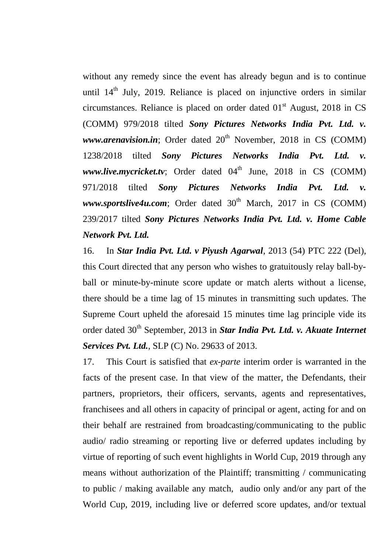without any remedy since the event has already begun and is to continue until  $14<sup>th</sup>$  July, 2019. Reliance is placed on injunctive orders in similar circumstances. Reliance is placed on order dated  $01<sup>st</sup>$  August, 2018 in CS (COMM) 979/2018 tilted *Sony Pictures Networks India Pvt. Ltd. v.*  $www.arenavision.in$ ; Order dated  $20<sup>th</sup>$  November, 2018 in CS (COMM) 1238/2018 tilted *Sony Pictures Networks India Pvt. Ltd. v. www.live.mycricket.tv*; Order dated 04<sup>th</sup> June, 2018 in CS (COMM) 971/2018 tilted *Sony Pictures Networks India Pvt. Ltd. v.*  $www.sportslive4u.com$ ; Order dated  $30<sup>th</sup>$  March, 2017 in CS (COMM) 239/2017 tilted *Sony Pictures Networks India Pvt. Ltd. v. Home Cable Network Pvt. Ltd.*

16. In *Star India Pvt. Ltd. v Piyush Agarwal*, 2013 (54) PTC 222 (Del), this Court directed that any person who wishes to gratuitously relay ball-byball or minute-by-minute score update or match alerts without a license, there should be a time lag of 15 minutes in transmitting such updates. The Supreme Court upheld the aforesaid 15 minutes time lag principle vide its order dated 30<sup>th</sup> September, 2013 in *Star India Pvt. Ltd. v. Akuate Internet Services Pvt. Ltd.*, SLP (C) No. 29633 of 2013.

17. This Court is satisfied that *ex-parte* interim order is warranted in the facts of the present case. In that view of the matter, the Defendants, their partners, proprietors, their officers, servants, agents and representatives, franchisees and all others in capacity of principal or agent, acting for and on their behalf are restrained from broadcasting/communicating to the public audio/ radio streaming or reporting live or deferred updates including by virtue of reporting of such event highlights in World Cup, 2019 through any means without authorization of the Plaintiff; transmitting / communicating to public / making available any match, audio only and/or any part of the World Cup, 2019, including live or deferred score updates, and/or textual